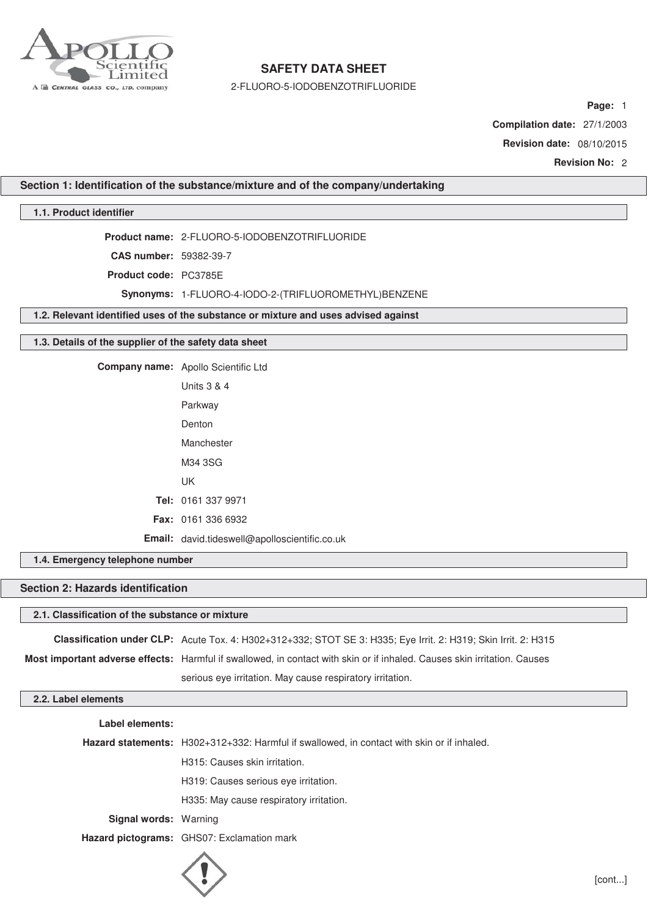

2-FLUORO-5-IODOBENZOTRIFLUORIDE

**Page:** 1

**Compilation date:** 27/1/2003

**Revision date:** 08/10/2015

**Revision No:** 2

**Section 1: Identification of the substance/mixture and of the company/undertaking**

## **1.1. Product identifier**

**Product name:** 2-FLUORO-5-IODOBENZOTRIFLUORIDE

**CAS number:** 59382-39-7

**Product code:** PC3785E

**Synonyms:** 1-FLUORO-4-IODO-2-(TRIFLUOROMETHYL)BENZENE

**1.2. Relevant identified uses of the substance or mixture and uses advised against**

### **1.3. Details of the supplier of the safety data sheet**

**Company name:** Apollo Scientific Ltd Units 3 & 4

| Parkway                                       |
|-----------------------------------------------|
| Denton                                        |
| Manchester                                    |
| M34 3SG                                       |
| UK                                            |
| Tel: 0161 337 9971                            |
| <b>Fax: 0161 336 6932</b>                     |
| Email: david.tideswell@apolloscientific.co.uk |

**1.4. Emergency telephone number**

## **Section 2: Hazards identification**

## **2.1. Classification of the substance or mixture**

**Classification under CLP:** Acute Tox. 4: H302+312+332; STOT SE 3: H335; Eye Irrit. 2: H319; Skin Irrit. 2: H315 **Most important adverse effects:** Harmful if swallowed, in contact with skin or if inhaled. Causes skin irritation. Causes serious eye irritation. May cause respiratory irritation.

# **2.2. Label elements**

**Label elements:**

**Hazard statements:** H302+312+332: Harmful if swallowed, in contact with skin or if inhaled.

H315: Causes skin irritation.

H319: Causes serious eye irritation.

H335: May cause respiratory irritation.

**Signal words:** Warning

**Hazard pictograms:** GHS07: Exclamation mark

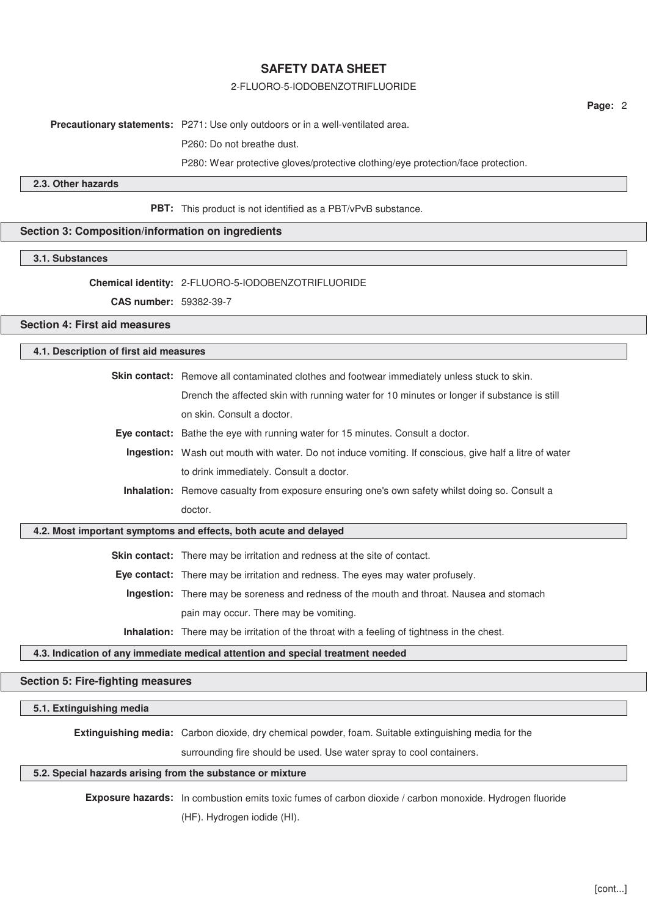### 2-FLUORO-5-IODOBENZOTRIFLUORIDE

**Page:** 2

**Precautionary statements:** P271: Use only outdoors or in a well-ventilated area.

P260: Do not breathe dust.

P280: Wear protective gloves/protective clothing/eye protection/face protection.

## **2.3. Other hazards**

**PBT:** This product is not identified as a PBT/vPvB substance.

## **Section 3: Composition/information on ingredients**

### **3.1. Substances**

**Chemical identity:** 2-FLUORO-5-IODOBENZOTRIFLUORIDE

**CAS number:** 59382-39-7

### **Section 4: First aid measures**

## **4.1. Description of first aid measures**

**Skin contact:** Remove all contaminated clothes and footwear immediately unless stuck to skin.

Drench the affected skin with running water for 10 minutes or longer if substance is still on skin. Consult a doctor.

- **Eye contact:** Bathe the eye with running water for 15 minutes. Consult a doctor.
- **Ingestion:** Wash out mouth with water. Do not induce vomiting. If conscious, give half a litre of water to drink immediately. Consult a doctor.
- **Inhalation:** Remove casualty from exposure ensuring one's own safety whilst doing so. Consult a doctor.

### **4.2. Most important symptoms and effects, both acute and delayed**

**Skin contact:** There may be irritation and redness at the site of contact.

**Eye contact:** There may be irritation and redness. The eyes may water profusely.

**Ingestion:** There may be soreness and redness of the mouth and throat. Nausea and stomach pain may occur. There may be vomiting.

**Inhalation:** There may be irritation of the throat with a feeling of tightness in the chest.

## **4.3. Indication of any immediate medical attention and special treatment needed**

### **Section 5: Fire-fighting measures**

### **5.1. Extinguishing media**

**Extinguishing media:** Carbon dioxide, dry chemical powder, foam. Suitable extinguishing media for the

surrounding fire should be used. Use water spray to cool containers.

#### **5.2. Special hazards arising from the substance or mixture**

**Exposure hazards:** In combustion emits toxic fumes of carbon dioxide / carbon monoxide. Hydrogen fluoride

(HF). Hydrogen iodide (HI).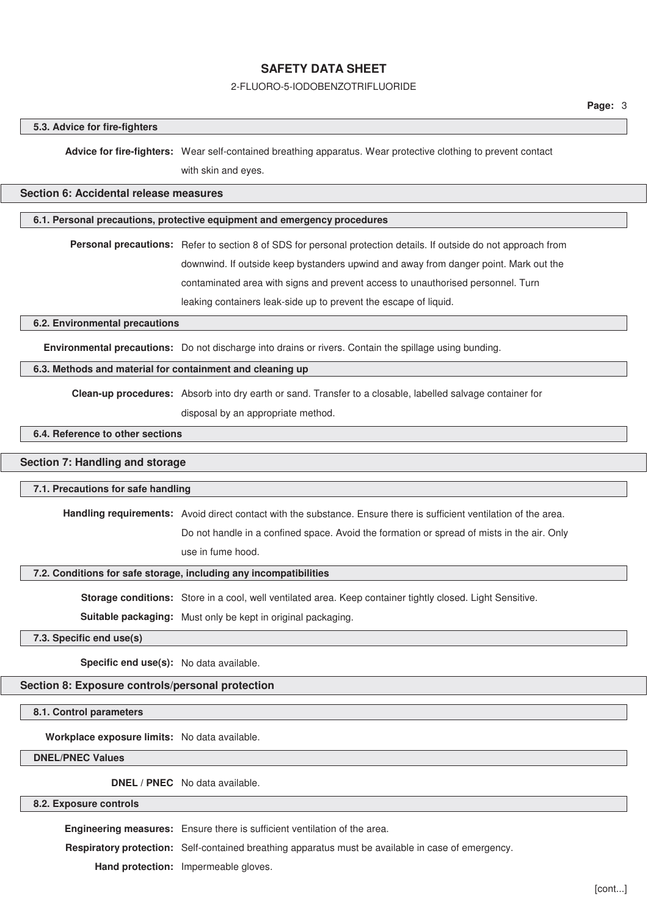### 2-FLUORO-5-IODOBENZOTRIFLUORIDE

#### **5.3. Advice for fire-fighters**

**Advice for fire-fighters:** Wear self-contained breathing apparatus. Wear protective clothing to prevent contact with skin and eyes.

## **Section 6: Accidental release measures**

## **6.1. Personal precautions, protective equipment and emergency procedures**

**Personal precautions:** Refer to section 8 of SDS for personal protection details. If outside do not approach from downwind. If outside keep bystanders upwind and away from danger point. Mark out the contaminated area with signs and prevent access to unauthorised personnel. Turn leaking containers leak-side up to prevent the escape of liquid.

#### **6.2. Environmental precautions**

**Environmental precautions:** Do not discharge into drains or rivers. Contain the spillage using bunding.

### **6.3. Methods and material for containment and cleaning up**

**Clean-up procedures:** Absorb into dry earth or sand. Transfer to a closable, labelled salvage container for

disposal by an appropriate method.

## **6.4. Reference to other sections**

## **Section 7: Handling and storage**

#### **7.1. Precautions for safe handling**

**Handling requirements:** Avoid direct contact with the substance. Ensure there is sufficient ventilation of the area.

Do not handle in a confined space. Avoid the formation or spread of mists in the air. Only

use in fume hood.

#### **7.2. Conditions for safe storage, including any incompatibilities**

**Storage conditions:** Store in a cool, well ventilated area. Keep container tightly closed. Light Sensitive.

**Suitable packaging:** Must only be kept in original packaging.

**7.3. Specific end use(s)**

**Specific end use(s):** No data available.

## **Section 8: Exposure controls/personal protection**

**8.1. Control parameters**

**Workplace exposure limits:** No data available.

**DNEL/PNEC Values**

**DNEL / PNEC** No data available.

## **8.2. Exposure controls**

**Engineering measures:** Ensure there is sufficient ventilation of the area.

**Respiratory protection:** Self-contained breathing apparatus must be available in case of emergency.

**Hand protection:** Impermeable gloves.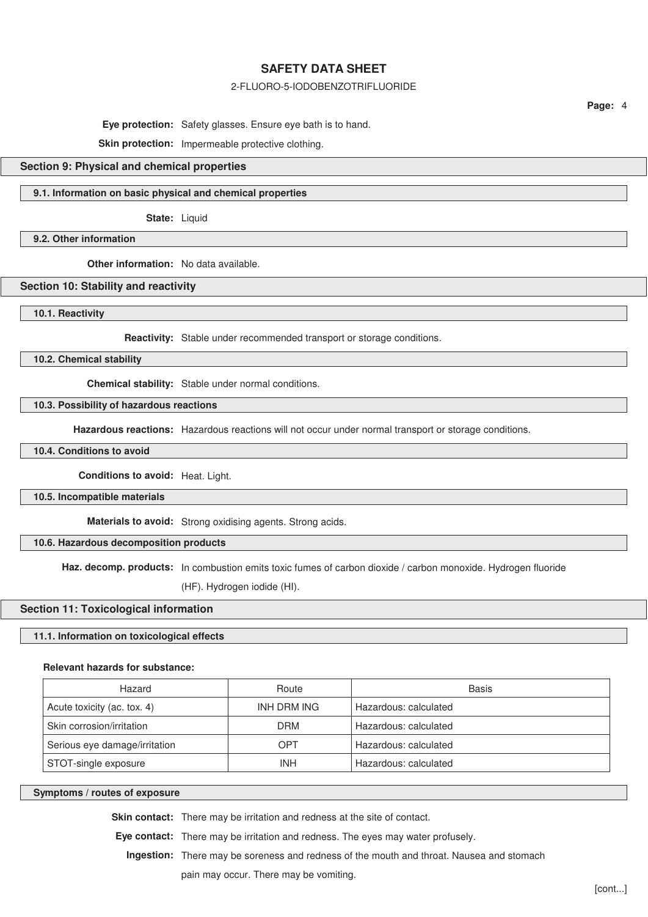### 2-FLUORO-5-IODOBENZOTRIFLUORIDE

**Page:** 4

**Eye protection:** Safety glasses. Ensure eye bath is to hand.

Skin protection: Impermeable protective clothing.

### **Section 9: Physical and chemical properties**

## **9.1. Information on basic physical and chemical properties**

**State:** Liquid

### **9.2. Other information**

**Other information:** No data available.

### **Section 10: Stability and reactivity**

**10.1. Reactivity**

**Reactivity:** Stable under recommended transport or storage conditions.

**10.2. Chemical stability**

**Chemical stability:** Stable under normal conditions.

## **10.3. Possibility of hazardous reactions**

**Hazardous reactions:** Hazardous reactions will not occur under normal transport or storage conditions.

**10.4. Conditions to avoid**

**Conditions to avoid:** Heat. Light.

**10.5. Incompatible materials**

**Materials to avoid:** Strong oxidising agents. Strong acids.

## **10.6. Hazardous decomposition products**

**Haz. decomp. products:** In combustion emits toxic fumes of carbon dioxide / carbon monoxide. Hydrogen fluoride

(HF). Hydrogen iodide (HI).

### **Section 11: Toxicological information**

## **11.1. Information on toxicological effects**

#### **Relevant hazards for substance:**

| Hazard                        | Route       | Basis                 |
|-------------------------------|-------------|-----------------------|
| Acute toxicity (ac. tox. 4)   | INH DRM ING | Hazardous: calculated |
| Skin corrosion/irritation     | DRM         | Hazardous: calculated |
| Serious eye damage/irritation | OPT         | Hazardous: calculated |
| STOT-single exposure          | <b>INH</b>  | Hazardous: calculated |

## **Symptoms / routes of exposure**

**Skin contact:** There may be irritation and redness at the site of contact.

**Eye contact:** There may be irritation and redness. The eyes may water profusely.

**Ingestion:** There may be soreness and redness of the mouth and throat. Nausea and stomach

pain may occur. There may be vomiting.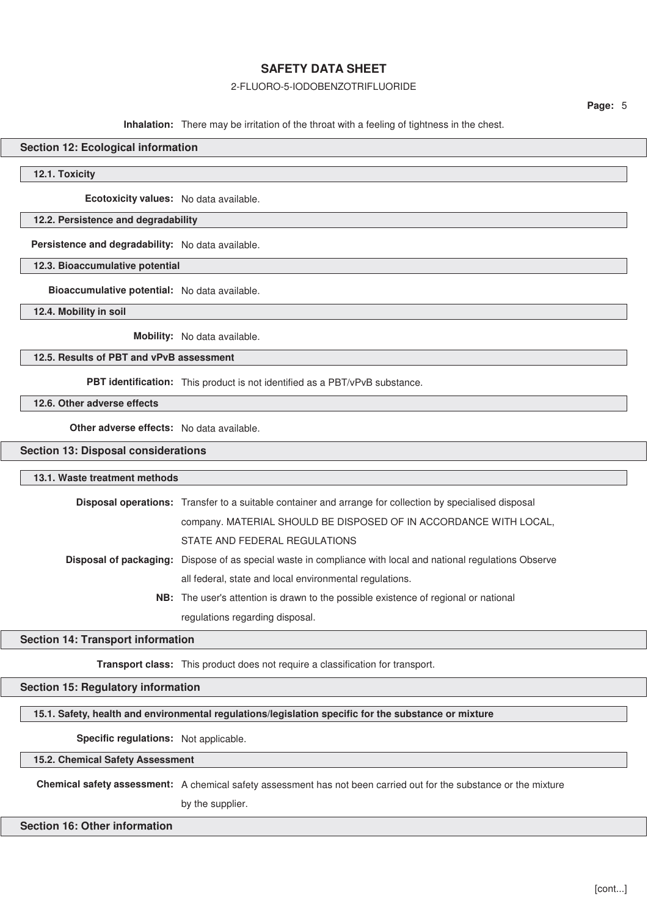## 2-FLUORO-5-IODOBENZOTRIFLUORIDE

**Page:** 5

**Inhalation:** There may be irritation of the throat with a feeling of tightness in the chest.

## **Section 12: Ecological information**

**12.1. Toxicity**

**Ecotoxicity values:** No data available.

## **12.2. Persistence and degradability**

**Persistence and degradability:** No data available.

### **12.3. Bioaccumulative potential**

**Bioaccumulative potential:** No data available.

**12.4. Mobility in soil**

**Mobility:** No data available.

## **12.5. Results of PBT and vPvB assessment**

**PBT identification:** This product is not identified as a PBT/vPvB substance.

**12.6. Other adverse effects**

**Other adverse effects:** No data available.

## **Section 13: Disposal considerations**

#### **13.1. Waste treatment methods**

| <b>Disposal operations:</b> Transfer to a suitable container and arrange for collection by specialised disposal |
|-----------------------------------------------------------------------------------------------------------------|
| company. MATERIAL SHOULD BE DISPOSED OF IN ACCORDANCE WITH LOCAL,                                               |
| STATE AND FEDERAL REGULATIONS                                                                                   |
| Disposal of packaging: Dispose of as special waste in compliance with local and national regulations Observe    |
| all federal, state and local environmental regulations.                                                         |
| <b>NB:</b> The user's attention is drawn to the possible existence of regional or national                      |
| regulations regarding disposal.                                                                                 |

### **Section 14: Transport information**

**Transport class:** This product does not require a classification for transport.

## **Section 15: Regulatory information**

**15.1. Safety, health and environmental regulations/legislation specific for the substance or mixture**

**Specific regulations:** Not applicable.

**15.2. Chemical Safety Assessment**

**Chemical safety assessment:** A chemical safety assessment has not been carried out for the substance or the mixture by the supplier.

## **Section 16: Other information**